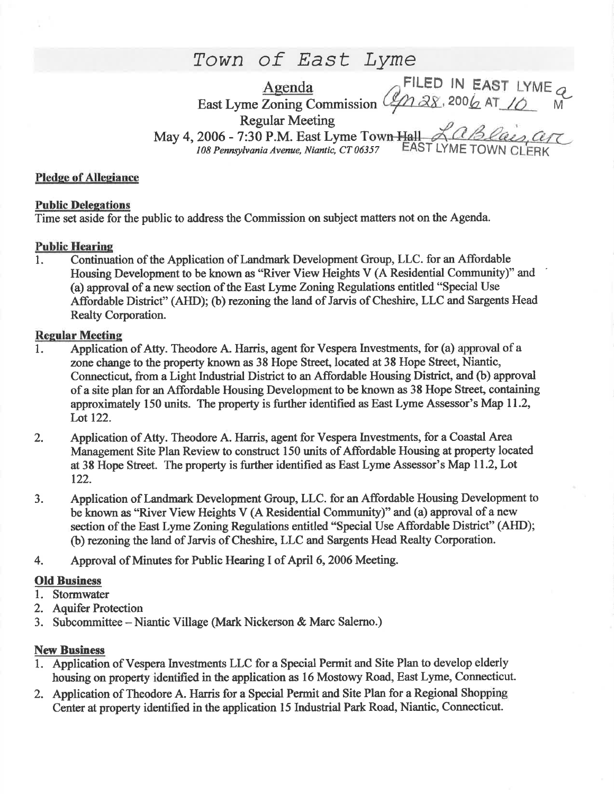# Town of East Lyme

Agenda Agenda<br>East Lyme Zoning Commission (42) 28, 2006 AT 10 M Regular Meeting May 4, 2006 - 7:30 P.M. East Lyme Town Hall

108 Pennsylvania Avenue, Niantic, CT 06357 EAST LYME TOWN CL

## Pledge of Allegiance

## Public Delegations

Time set aside for the public to address the Commission on subject matters not on the Agenda.

## **Public Hearing**

1. Continuation of the Application of Landmark Development Group, LLC. for an Affordable Housing Development to be known as "River View Heights V (A Residential Community)" and (a) approval of a new section of the East Lyme Zoning Regulations entitled "Special Use Affordable District" (AHD); (b) rezoning the land of Jarvis of Cheshire, LLC and Sargents Head Realty Corporation.

## **Regular Meeting**

- 1. Application of Atty. Theodore A Harris, agent for Vespera Investnents, for (a) approval of <sup>a</sup> zone change to the property known as 38 Hope Street, located at 38 Hope Street, Niantic, Connecticut, from a Light Industrial District to an Affordable Housing District, and (b) approval of a site plan for an Affordable Housing Development to be known as 38 Hope Street, containing approximately 150 units. The property is further identified as East Lyme Assessor's Map 11.2, Lot 122.
- 2. Application of Atty. Theodore A. Harris, agent for Vespera Investments, for a Coastal Area Management Site Plan Review to construct 150 units of Affordable Housing at property located at 38 Hope Street. The property is further identified as East Lyme Assessor's Map 11.2, Lot 122.
- 3. Application of Landmark Development Group, LLC. for an Affordable Housing Development to be known as "River View Heights V (A Residential Community)" and (a) approval of a new section of the East Lyme Zoning Regulations entitled "Special Use Affordable District" (AHD); (b) rezoning the land of Jarvis of Cheshire, LLC and Sargents Head Realty Corporation.
- 4. Approval of Minutes for Fublic Hearing I of April 6,2006 Meeting.

## **Old Business**

- 1. Stormwater
- 2. Aquifer Protection
- 3. Subcommittee -Niantic Village (Mark Nickerson & Marc Salemo.)

### **New Business**

- 1. Application of Vespera Investments LLC for a Special Permit and Site Plan to develop elderly housing on properfy identified in the application as 16 Mostowy Road, East Lyme, Connecticut.
- 2. Application of Theodore A. Harris for a Special Pemrit and Site Plan for a Regional Shopping Center at property identified in the application 15 Industrial Park Road, Niantic, Connecticut.